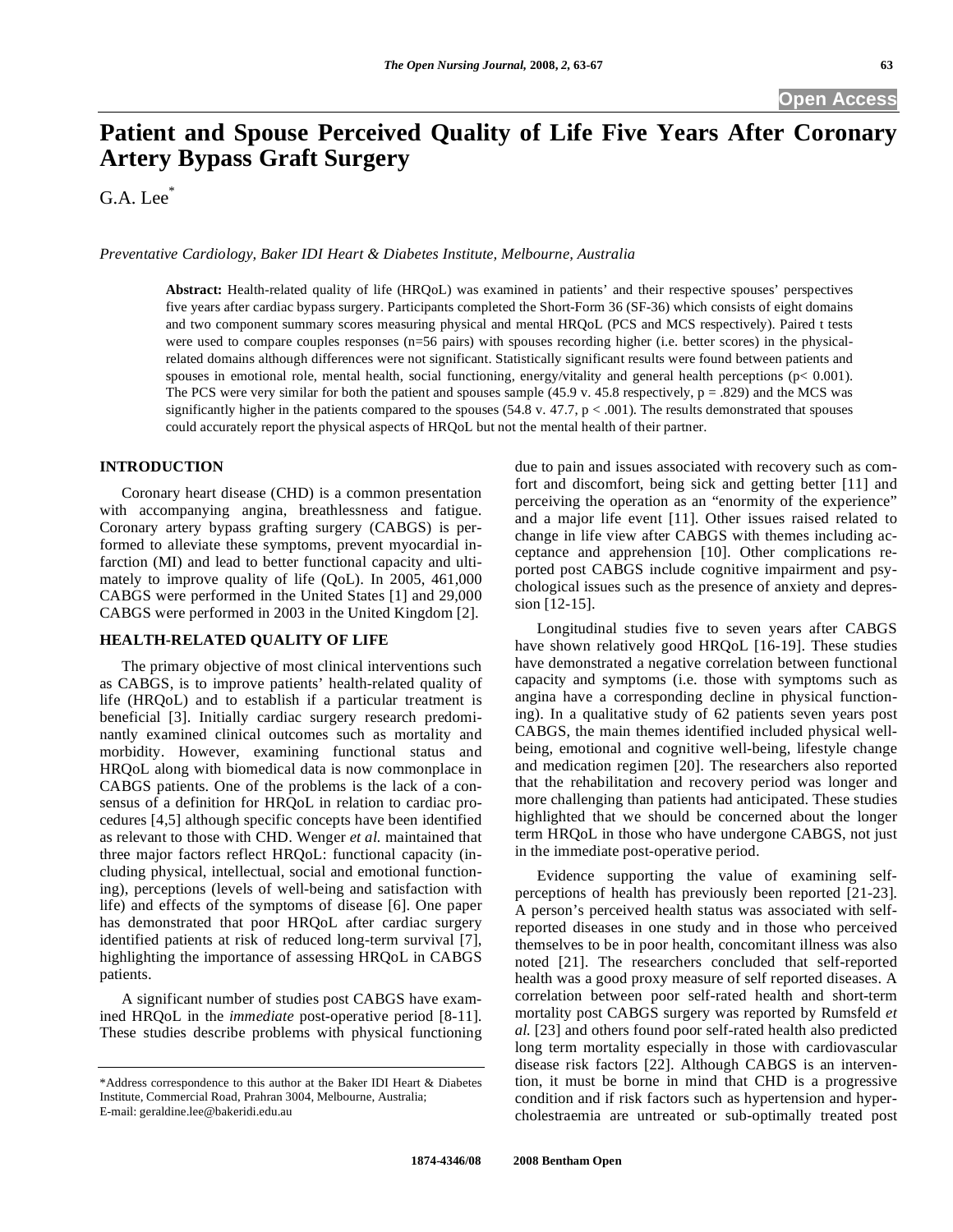**Open Access** 

# **Patient and Spouse Perceived Quality of Life Five Years After Coronary Artery Bypass Graft Surgery**

G.A. Lee\*

*Preventative Cardiology, Baker IDI Heart & Diabetes Institute, Melbourne, Australia* 

**Abstract:** Health-related quality of life (HRQoL) was examined in patients' and their respective spouses' perspectives five years after cardiac bypass surgery. Participants completed the Short-Form 36 (SF-36) which consists of eight domains and two component summary scores measuring physical and mental HRQoL (PCS and MCS respectively). Paired t tests were used to compare couples responses (n=56 pairs) with spouses recording higher (i.e. better scores) in the physicalrelated domains although differences were not significant. Statistically significant results were found between patients and spouses in emotional role, mental health, social functioning, energy/vitality and general health perceptions (p< 0.001). The PCS were very similar for both the patient and spouses sample  $(45.9 \text{ v. } 45.8 \text{ respectively}, p = .829)$  and the MCS was significantly higher in the patients compared to the spouses  $(54.8 \text{ v. } 47.7, \text{ p} < .001)$ . The results demonstrated that spouses could accurately report the physical aspects of HRQoL but not the mental health of their partner.

## **INTRODUCTION**

 Coronary heart disease (CHD) is a common presentation with accompanying angina, breathlessness and fatigue. Coronary artery bypass grafting surgery (CABGS) is performed to alleviate these symptoms, prevent myocardial infarction (MI) and lead to better functional capacity and ultimately to improve quality of life (QoL). In 2005, 461,000 CABGS were performed in the United States [1] and 29,000 CABGS were performed in 2003 in the United Kingdom [2].

#### **HEALTH-RELATED QUALITY OF LIFE**

 The primary objective of most clinical interventions such as CABGS, is to improve patients' health-related quality of life (HRQoL) and to establish if a particular treatment is beneficial [3]. Initially cardiac surgery research predominantly examined clinical outcomes such as mortality and morbidity. However, examining functional status and HRQoL along with biomedical data is now commonplace in CABGS patients. One of the problems is the lack of a consensus of a definition for HRQoL in relation to cardiac procedures [4,5] although specific concepts have been identified as relevant to those with CHD. Wenger *et al.* maintained that three major factors reflect HRQoL: functional capacity (including physical, intellectual, social and emotional functioning), perceptions (levels of well-being and satisfaction with life) and effects of the symptoms of disease [6]. One paper has demonstrated that poor HRQoL after cardiac surgery identified patients at risk of reduced long-term survival [7], highlighting the importance of assessing HRQoL in CABGS patients.

 A significant number of studies post CABGS have examined HRQoL in the *immediate* post-operative period [8-11]. These studies describe problems with physical functioning due to pain and issues associated with recovery such as comfort and discomfort, being sick and getting better [11] and perceiving the operation as an "enormity of the experience" and a major life event [11]. Other issues raised related to change in life view after CABGS with themes including acceptance and apprehension [10]. Other complications reported post CABGS include cognitive impairment and psychological issues such as the presence of anxiety and depression [12-15].

 Longitudinal studies five to seven years after CABGS have shown relatively good HRQoL [16-19]. These studies have demonstrated a negative correlation between functional capacity and symptoms (i.e. those with symptoms such as angina have a corresponding decline in physical functioning). In a qualitative study of 62 patients seven years post CABGS, the main themes identified included physical wellbeing, emotional and cognitive well-being, lifestyle change and medication regimen [20]. The researchers also reported that the rehabilitation and recovery period was longer and more challenging than patients had anticipated. These studies highlighted that we should be concerned about the longer term HRQoL in those who have undergone CABGS, not just in the immediate post-operative period.

 Evidence supporting the value of examining selfperceptions of health has previously been reported [21-23]. A person's perceived health status was associated with selfreported diseases in one study and in those who perceived themselves to be in poor health, concomitant illness was also noted [21]. The researchers concluded that self-reported health was a good proxy measure of self reported diseases. A correlation between poor self-rated health and short-term mortality post CABGS surgery was reported by Rumsfeld *et al.* [23] and others found poor self-rated health also predicted long term mortality especially in those with cardiovascular disease risk factors [22]. Although CABGS is an intervention, it must be borne in mind that CHD is a progressive condition and if risk factors such as hypertension and hypercholestraemia are untreated or sub-optimally treated post

<sup>\*</sup>Address correspondence to this author at the Baker IDI Heart & Diabetes Institute, Commercial Road, Prahran 3004, Melbourne, Australia; E-mail: geraldine.lee@bakeridi.edu.au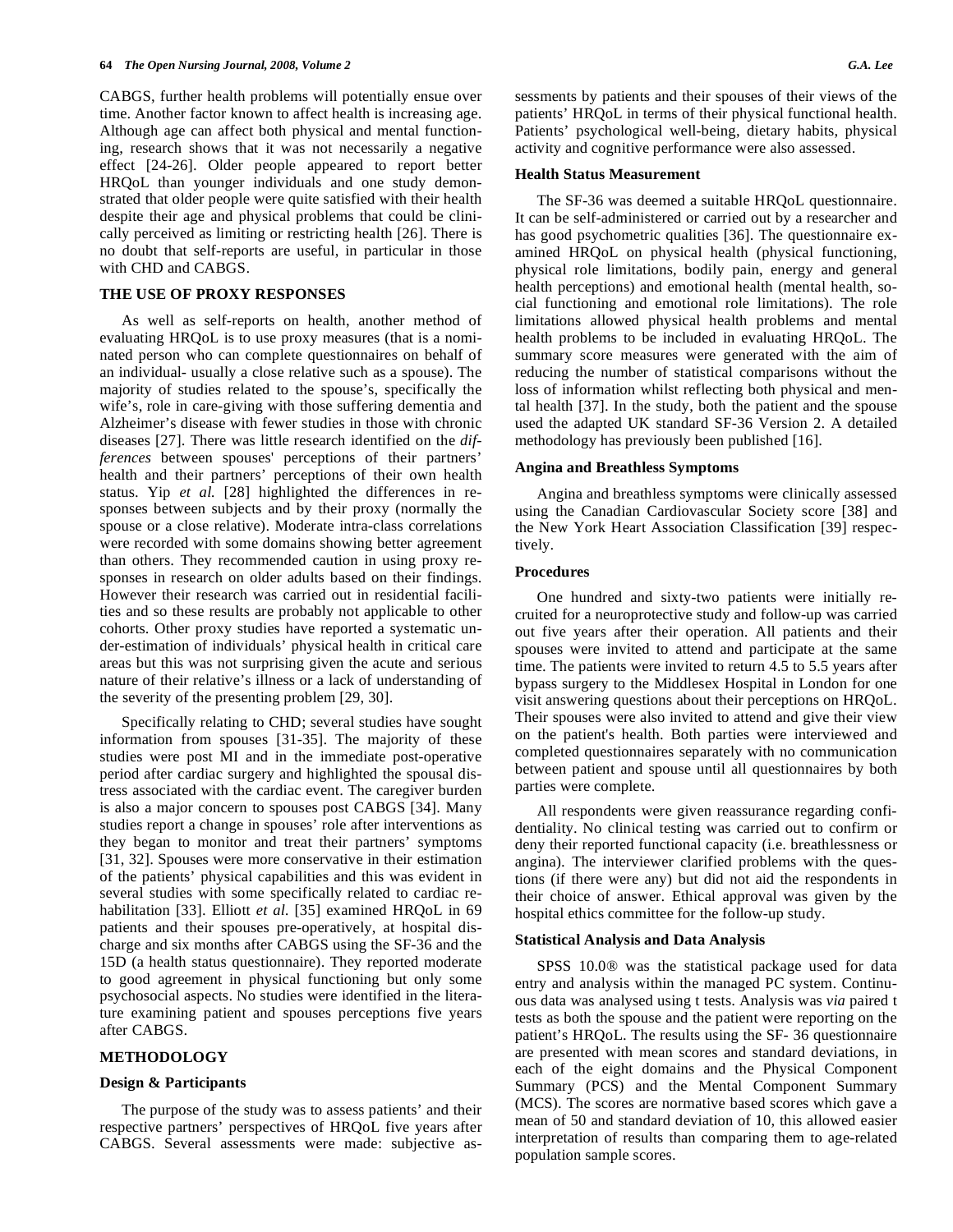CABGS, further health problems will potentially ensue over time. Another factor known to affect health is increasing age. Although age can affect both physical and mental functioning, research shows that it was not necessarily a negative effect [24-26]. Older people appeared to report better HRQoL than younger individuals and one study demonstrated that older people were quite satisfied with their health despite their age and physical problems that could be clinically perceived as limiting or restricting health [26]. There is no doubt that self-reports are useful, in particular in those with CHD and CABGS.

# **THE USE OF PROXY RESPONSES**

 As well as self-reports on health, another method of evaluating HRQoL is to use proxy measures (that is a nominated person who can complete questionnaires on behalf of an individual- usually a close relative such as a spouse). The majority of studies related to the spouse's, specifically the wife's, role in care-giving with those suffering dementia and Alzheimer's disease with fewer studies in those with chronic diseases [27]. There was little research identified on the *differences* between spouses' perceptions of their partners' health and their partners' perceptions of their own health status. Yip *et al.* [28] highlighted the differences in responses between subjects and by their proxy (normally the spouse or a close relative). Moderate intra-class correlations were recorded with some domains showing better agreement than others. They recommended caution in using proxy responses in research on older adults based on their findings. However their research was carried out in residential facilities and so these results are probably not applicable to other cohorts. Other proxy studies have reported a systematic under-estimation of individuals' physical health in critical care areas but this was not surprising given the acute and serious nature of their relative's illness or a lack of understanding of the severity of the presenting problem [29, 30].

 Specifically relating to CHD; several studies have sought information from spouses [31-35]. The majority of these studies were post MI and in the immediate post-operative period after cardiac surgery and highlighted the spousal distress associated with the cardiac event. The caregiver burden is also a major concern to spouses post CABGS [34]. Many studies report a change in spouses' role after interventions as they began to monitor and treat their partners' symptoms [31, 32]. Spouses were more conservative in their estimation of the patients' physical capabilities and this was evident in several studies with some specifically related to cardiac rehabilitation [33]. Elliott *et al.* [35] examined HRQoL in 69 patients and their spouses pre-operatively, at hospital discharge and six months after CABGS using the SF-36 and the 15D (a health status questionnaire). They reported moderate to good agreement in physical functioning but only some psychosocial aspects. No studies were identified in the literature examining patient and spouses perceptions five years after CABGS.

## **METHODOLOGY**

#### **Design & Participants**

 The purpose of the study was to assess patients' and their respective partners' perspectives of HRQoL five years after CABGS. Several assessments were made: subjective assessments by patients and their spouses of their views of the patients' HRQoL in terms of their physical functional health. Patients' psychological well-being, dietary habits, physical activity and cognitive performance were also assessed.

#### **Health Status Measurement**

 The SF-36 was deemed a suitable HRQoL questionnaire. It can be self-administered or carried out by a researcher and has good psychometric qualities [36]. The questionnaire examined HRQoL on physical health (physical functioning, physical role limitations, bodily pain, energy and general health perceptions) and emotional health (mental health, social functioning and emotional role limitations). The role limitations allowed physical health problems and mental health problems to be included in evaluating HRQoL. The summary score measures were generated with the aim of reducing the number of statistical comparisons without the loss of information whilst reflecting both physical and mental health [37]. In the study, both the patient and the spouse used the adapted UK standard SF-36 Version 2. A detailed methodology has previously been published [16].

#### **Angina and Breathless Symptoms**

 Angina and breathless symptoms were clinically assessed using the Canadian Cardiovascular Society score [38] and the New York Heart Association Classification [39] respectively.

## **Procedures**

 One hundred and sixty-two patients were initially recruited for a neuroprotective study and follow-up was carried out five years after their operation. All patients and their spouses were invited to attend and participate at the same time. The patients were invited to return 4.5 to 5.5 years after bypass surgery to the Middlesex Hospital in London for one visit answering questions about their perceptions on HRQoL. Their spouses were also invited to attend and give their view on the patient's health. Both parties were interviewed and completed questionnaires separately with no communication between patient and spouse until all questionnaires by both parties were complete.

 All respondents were given reassurance regarding confidentiality. No clinical testing was carried out to confirm or deny their reported functional capacity (i.e. breathlessness or angina). The interviewer clarified problems with the questions (if there were any) but did not aid the respondents in their choice of answer. Ethical approval was given by the hospital ethics committee for the follow-up study.

## **Statistical Analysis and Data Analysis**

 SPSS 10.0® was the statistical package used for data entry and analysis within the managed PC system. Continuous data was analysed using t tests. Analysis was *via* paired t tests as both the spouse and the patient were reporting on the patient's HRQoL. The results using the SF- 36 questionnaire are presented with mean scores and standard deviations, in each of the eight domains and the Physical Component Summary (PCS) and the Mental Component Summary (MCS). The scores are normative based scores which gave a mean of 50 and standard deviation of 10, this allowed easier interpretation of results than comparing them to age-related population sample scores.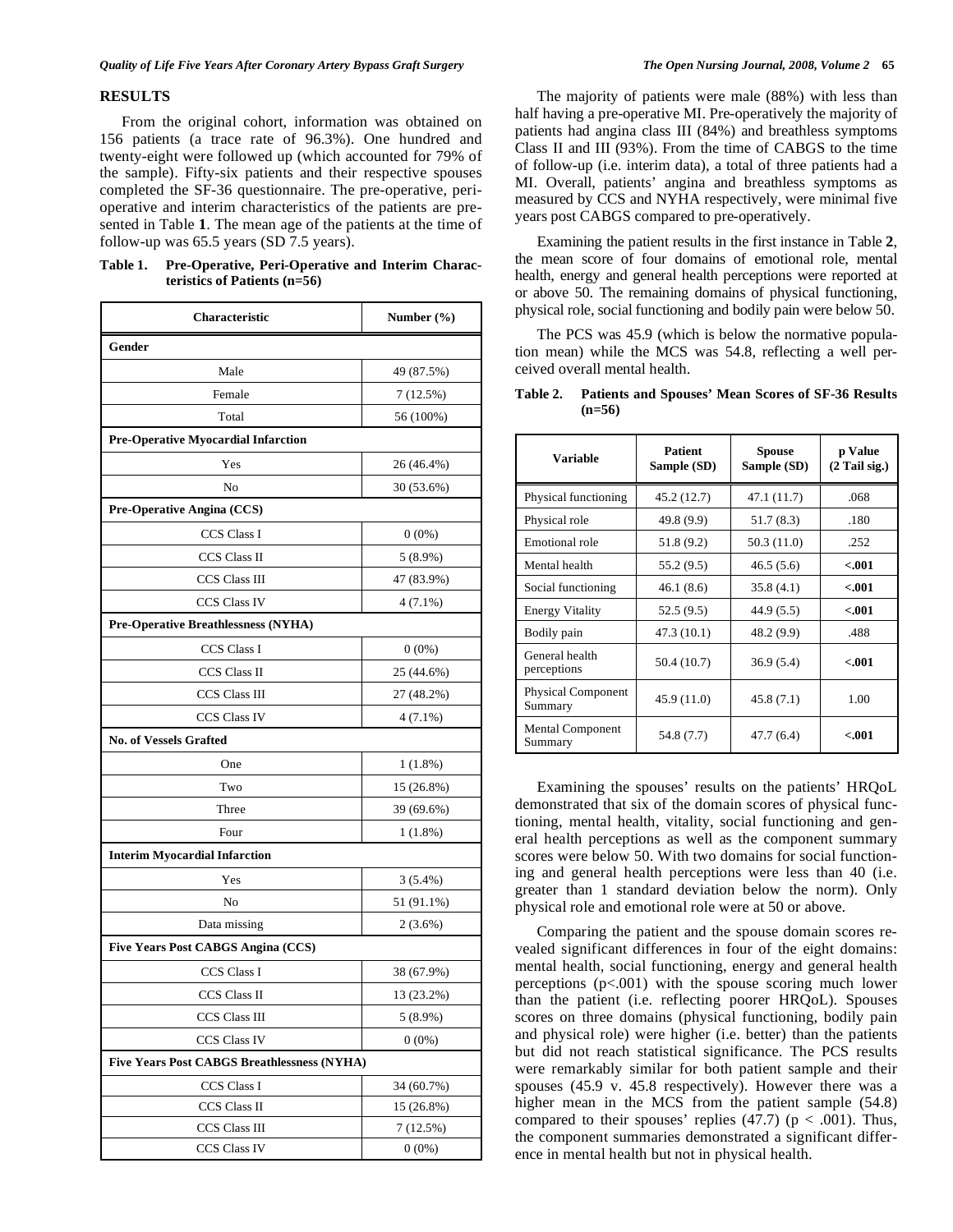## **RESULTS**

 From the original cohort, information was obtained on 156 patients (a trace rate of 96.3%). One hundred and twenty-eight were followed up (which accounted for 79% of the sample). Fifty-six patients and their respective spouses completed the SF-36 questionnaire. The pre-operative, perioperative and interim characteristics of the patients are presented in Table **1**. The mean age of the patients at the time of follow-up was 65.5 years (SD 7.5 years).

**Table 1. Pre-Operative, Peri-Operative and Interim Characteristics of Patients (n=56)** 

| <b>Characteristic</b>                              | Number $(\% )$ |  |
|----------------------------------------------------|----------------|--|
| Gender                                             |                |  |
| Male                                               | 49 (87.5%)     |  |
| Female                                             | 7(12.5%)       |  |
| Total                                              | 56 (100%)      |  |
| <b>Pre-Operative Myocardial Infarction</b>         |                |  |
| Yes                                                | 26 (46.4%)     |  |
| No                                                 | 30 (53.6%)     |  |
| Pre-Operative Angina (CCS)                         |                |  |
| CCS Class I                                        | $0(0\%)$       |  |
| CCS Class II                                       | 5 (8.9%)       |  |
| <b>CCS Class III</b>                               | 47 (83.9%)     |  |
| <b>CCS Class IV</b>                                | $4(7.1\%)$     |  |
| Pre-Operative Breathlessness (NYHA)                |                |  |
| <b>CCS Class I</b>                                 | $0(0\%)$       |  |
| CCS Class II                                       | 25 (44.6%)     |  |
| CCS Class III                                      | 27 (48.2%)     |  |
| <b>CCS Class IV</b>                                | $4(7.1\%)$     |  |
| <b>No. of Vessels Grafted</b>                      |                |  |
| One                                                | 1(1.8%)        |  |
| Two                                                | 15 (26.8%)     |  |
| Three                                              | 39 (69.6%)     |  |
| Four                                               | 1 (1.8%)       |  |
| <b>Interim Myocardial Infarction</b>               |                |  |
| Yes                                                | 3(5.4%)        |  |
| No                                                 | 51 (91.1%)     |  |
| Data missing                                       | 2(3.6%)        |  |
| <b>Five Years Post CABGS Angina (CCS)</b>          |                |  |
| CCS Class I                                        | 38 (67.9%)     |  |
| <b>CCS Class II</b>                                | 13 (23.2%)     |  |
| CCS Class III                                      | $5(8.9\%)$     |  |
| CCS Class IV                                       | $0(0\%)$       |  |
| <b>Five Years Post CABGS Breathlessness (NYHA)</b> |                |  |
| <b>CCS Class I</b>                                 | 34 (60.7%)     |  |
| CCS Class II                                       | 15 (26.8%)     |  |
| CCS Class III                                      | 7 (12.5%)      |  |
| CCS Class IV                                       | $0(0\%)$       |  |

 The majority of patients were male (88%) with less than half having a pre-operative MI. Pre-operatively the majority of patients had angina class III (84%) and breathless symptoms Class II and III (93%). From the time of CABGS to the time of follow-up (i.e. interim data), a total of three patients had a MI. Overall, patients' angina and breathless symptoms as measured by CCS and NYHA respectively, were minimal five years post CABGS compared to pre-operatively.

 Examining the patient results in the first instance in Table **2**, the mean score of four domains of emotional role, mental health, energy and general health perceptions were reported at or above 50. The remaining domains of physical functioning, physical role, social functioning and bodily pain were below 50.

 The PCS was 45.9 (which is below the normative population mean) while the MCS was 54.8, reflecting a well perceived overall mental health.

| <b>Variable</b>                      | <b>Patient</b><br>Sample (SD) | <b>Spouse</b><br>Sample (SD) | p Value<br>$(2$ Tail sig.) |
|--------------------------------------|-------------------------------|------------------------------|----------------------------|
| Physical functioning                 | 45.2 (12.7)                   | 47.1 (11.7)                  | .068                       |
| Physical role                        | 49.8 (9.9)                    | 51.7 (8.3)                   | .180                       |
| Emotional role                       | 51.8 (9.2)                    | 50.3 (11.0)                  | .252                       |
| Mental health                        | 55.2 (9.5)                    | 46.5(5.6)                    | < .001                     |
| Social functioning                   | 46.1 (8.6)                    | 35.8(4.1)                    | < 001                      |
| <b>Energy Vitality</b>               | 52.5 (9.5)                    | 44.9 (5.5)                   | < .001                     |
| Bodily pain                          | 47.3 (10.1)                   | 48.2 (9.9)                   | .488                       |
| General health<br>perceptions        | 50.4 (10.7)                   | 36.9(5.4)                    | < .001                     |
| <b>Physical Component</b><br>Summary | 45.9 (11.0)                   | 45.8 (7.1)                   | 1.00                       |
| <b>Mental Component</b><br>Summary   | 54.8 (7.7)                    | 47.7 (6.4)                   | < 001                      |

**Table 2. Patients and Spouses' Mean Scores of SF-36 Results (n=56)** 

 Examining the spouses' results on the patients' HRQoL demonstrated that six of the domain scores of physical functioning, mental health, vitality, social functioning and general health perceptions as well as the component summary scores were below 50. With two domains for social functioning and general health perceptions were less than 40 (i.e. greater than 1 standard deviation below the norm). Only physical role and emotional role were at 50 or above.

 Comparing the patient and the spouse domain scores revealed significant differences in four of the eight domains: mental health, social functioning, energy and general health perceptions (p<.001) with the spouse scoring much lower than the patient (i.e. reflecting poorer HRQoL). Spouses scores on three domains (physical functioning, bodily pain and physical role) were higher (i.e. better) than the patients but did not reach statistical significance. The PCS results were remarkably similar for both patient sample and their spouses (45.9 v. 45.8 respectively). However there was a higher mean in the MCS from the patient sample (54.8) compared to their spouses' replies  $(47.7)$  (p < .001). Thus, the component summaries demonstrated a significant difference in mental health but not in physical health.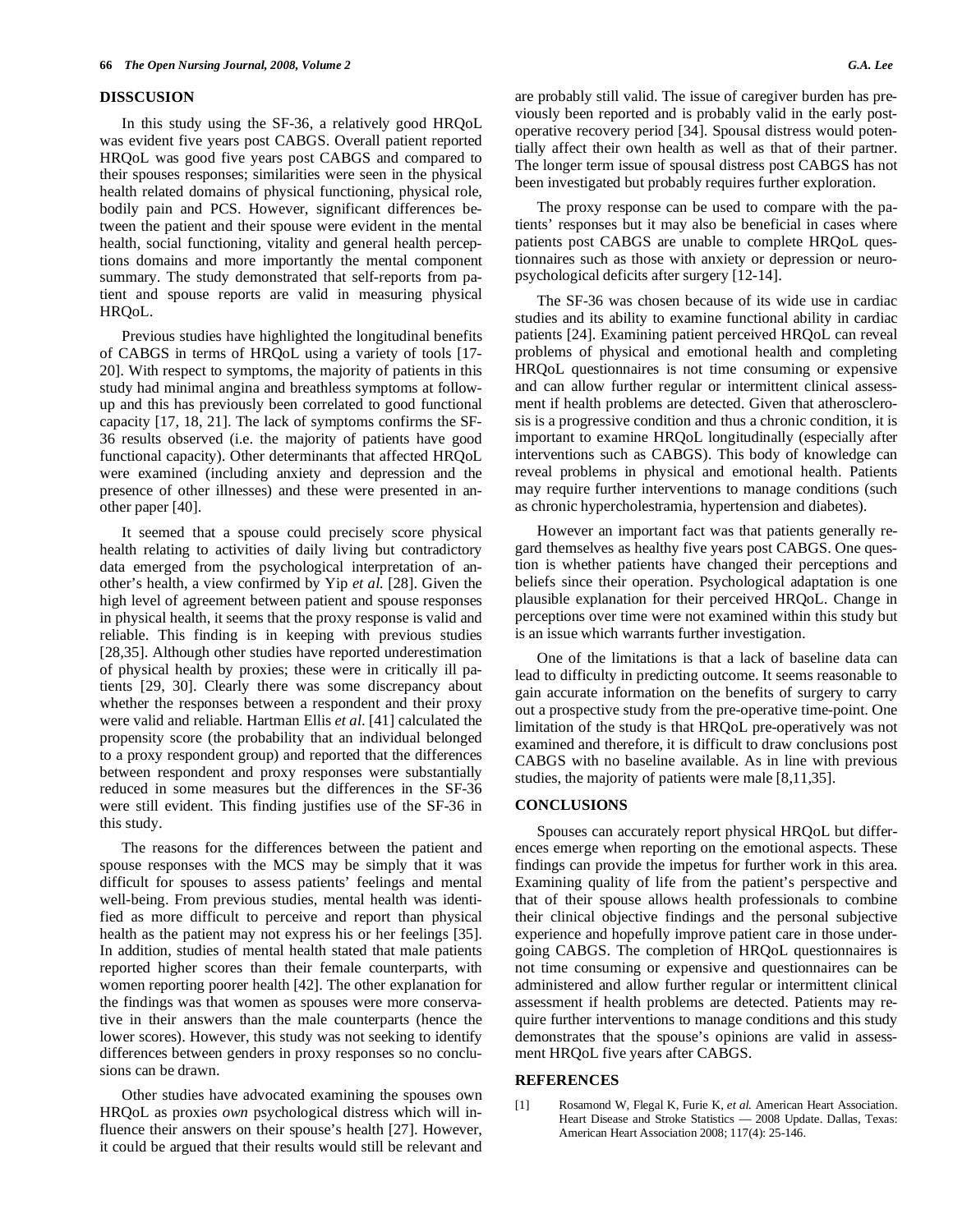#### **DISSCUSION**

 In this study using the SF-36, a relatively good HRQoL was evident five years post CABGS. Overall patient reported HRQoL was good five years post CABGS and compared to their spouses responses; similarities were seen in the physical health related domains of physical functioning, physical role, bodily pain and PCS. However, significant differences between the patient and their spouse were evident in the mental health, social functioning, vitality and general health perceptions domains and more importantly the mental component summary. The study demonstrated that self-reports from patient and spouse reports are valid in measuring physical HRQoL.

 Previous studies have highlighted the longitudinal benefits of CABGS in terms of HRQoL using a variety of tools [17- 20]. With respect to symptoms, the majority of patients in this study had minimal angina and breathless symptoms at followup and this has previously been correlated to good functional capacity [17, 18, 21]. The lack of symptoms confirms the SF-36 results observed (i.e. the majority of patients have good functional capacity). Other determinants that affected HRQoL were examined (including anxiety and depression and the presence of other illnesses) and these were presented in another paper [40].

 It seemed that a spouse could precisely score physical health relating to activities of daily living but contradictory data emerged from the psychological interpretation of another's health, a view confirmed by Yip *et al.* [28]. Given the high level of agreement between patient and spouse responses in physical health, it seems that the proxy response is valid and reliable. This finding is in keeping with previous studies [28,35]. Although other studies have reported underestimation of physical health by proxies; these were in critically ill patients [29, 30]. Clearly there was some discrepancy about whether the responses between a respondent and their proxy were valid and reliable. Hartman Ellis *et al*. [41] calculated the propensity score (the probability that an individual belonged to a proxy respondent group) and reported that the differences between respondent and proxy responses were substantially reduced in some measures but the differences in the SF-36 were still evident. This finding justifies use of the SF-36 in this study.

 The reasons for the differences between the patient and spouse responses with the MCS may be simply that it was difficult for spouses to assess patients' feelings and mental well-being. From previous studies, mental health was identified as more difficult to perceive and report than physical health as the patient may not express his or her feelings [35]. In addition, studies of mental health stated that male patients reported higher scores than their female counterparts, with women reporting poorer health [42]. The other explanation for the findings was that women as spouses were more conservative in their answers than the male counterparts (hence the lower scores). However, this study was not seeking to identify differences between genders in proxy responses so no conclusions can be drawn.

 Other studies have advocated examining the spouses own HRQoL as proxies *own* psychological distress which will influence their answers on their spouse's health [27]. However, it could be argued that their results would still be relevant and are probably still valid. The issue of caregiver burden has previously been reported and is probably valid in the early postoperative recovery period [34]. Spousal distress would potentially affect their own health as well as that of their partner. The longer term issue of spousal distress post CABGS has not been investigated but probably requires further exploration.

 The proxy response can be used to compare with the patients' responses but it may also be beneficial in cases where patients post CABGS are unable to complete HRQoL questionnaires such as those with anxiety or depression or neuropsychological deficits after surgery [12-14].

 The SF-36 was chosen because of its wide use in cardiac studies and its ability to examine functional ability in cardiac patients [24]. Examining patient perceived HRQoL can reveal problems of physical and emotional health and completing HRQoL questionnaires is not time consuming or expensive and can allow further regular or intermittent clinical assessment if health problems are detected. Given that atherosclerosis is a progressive condition and thus a chronic condition, it is important to examine HRQoL longitudinally (especially after interventions such as CABGS). This body of knowledge can reveal problems in physical and emotional health. Patients may require further interventions to manage conditions (such as chronic hypercholestramia, hypertension and diabetes).

 However an important fact was that patients generally regard themselves as healthy five years post CABGS. One question is whether patients have changed their perceptions and beliefs since their operation. Psychological adaptation is one plausible explanation for their perceived HRQoL. Change in perceptions over time were not examined within this study but is an issue which warrants further investigation.

 One of the limitations is that a lack of baseline data can lead to difficulty in predicting outcome. It seems reasonable to gain accurate information on the benefits of surgery to carry out a prospective study from the pre-operative time-point. One limitation of the study is that HRQoL pre-operatively was not examined and therefore, it is difficult to draw conclusions post CABGS with no baseline available. As in line with previous studies, the majority of patients were male [8,11,35].

# **CONCLUSIONS**

 Spouses can accurately report physical HRQoL but differences emerge when reporting on the emotional aspects. These findings can provide the impetus for further work in this area. Examining quality of life from the patient's perspective and that of their spouse allows health professionals to combine their clinical objective findings and the personal subjective experience and hopefully improve patient care in those undergoing CABGS. The completion of HRQoL questionnaires is not time consuming or expensive and questionnaires can be administered and allow further regular or intermittent clinical assessment if health problems are detected. Patients may require further interventions to manage conditions and this study demonstrates that the spouse's opinions are valid in assessment HRQoL five years after CABGS.

#### **REFERENCES**

[1] Rosamond W, Flegal K, Furie K, *et al.* American Heart Association. Heart Disease and Stroke Statistics — 2008 Update. Dallas, Texas: American Heart Association 2008; 117(4): 25-146.